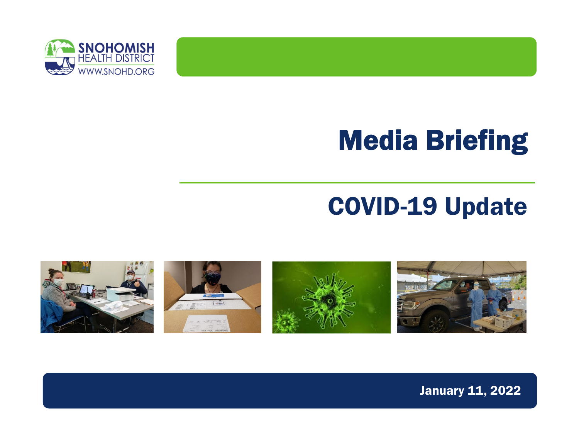

## Media Briefing

#### COVID-19 Update



January 11, 2022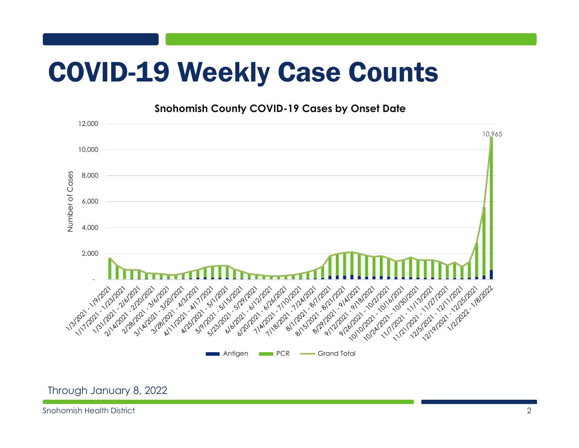### COVID-19 Weekly Case Counts

**Snohomish County COVID-19 Cases by Onset Date**

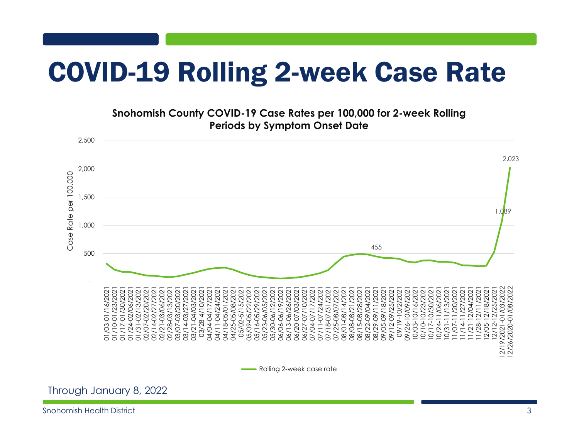### COVID-19 Rolling 2-week Case Rate

#### **Snohomish County COVID-19 Case Rates per 100,000 for 2-week Rolling Periods by Symptom Onset Date**



Through January 8, 2022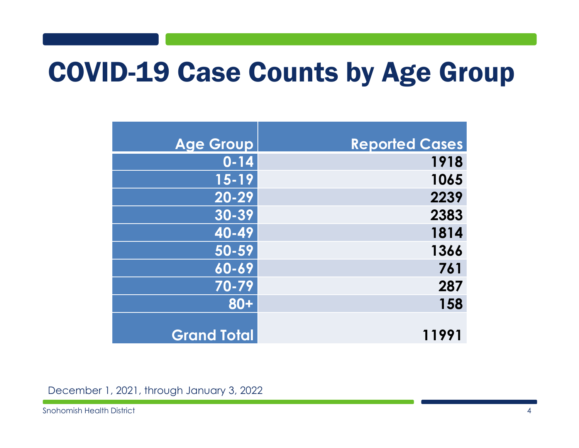#### COVID-19 Case Counts by Age Group

| <b>Age Group</b>   | <b>Reported Cases</b> |
|--------------------|-----------------------|
| $0 - 14$           | 1918                  |
| $\overline{15-19}$ | 1065                  |
| $\overline{20-29}$ | 2239                  |
| $30 - 39$          | 2383                  |
| 40-49              | 1814                  |
| 50-59              | 1366                  |
| 60-69              | 761                   |
| 70-79              | 287                   |
| $80 +$             | 158                   |
|                    |                       |
| <b>Grand Total</b> | 11991                 |

December 1, 2021, through January 3, 2022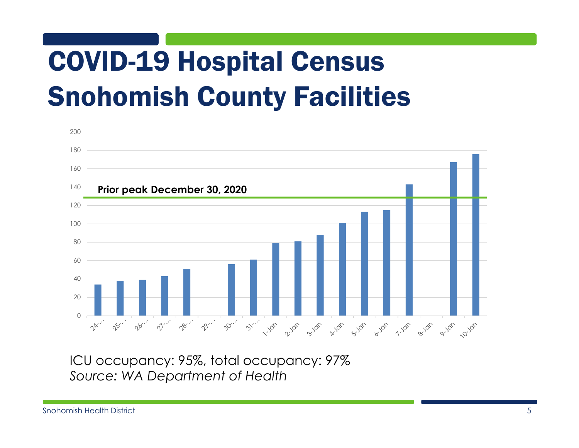# COVID-19 Hospital Census Snohomish County Facilities



ICU occupancy: 95%, total occupancy: 97% *Source: WA Department of Health*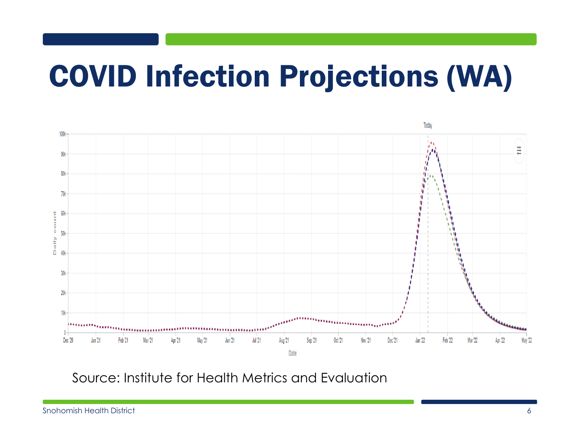## COVID Infection Projections (WA)



Source: Institute for Health Metrics and Evaluation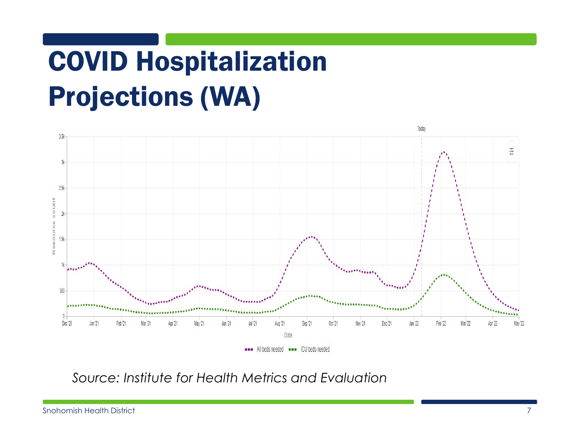# COVID Hospitalization Projections (WA)



*Source: Institute for Health Metrics and Evaluation*